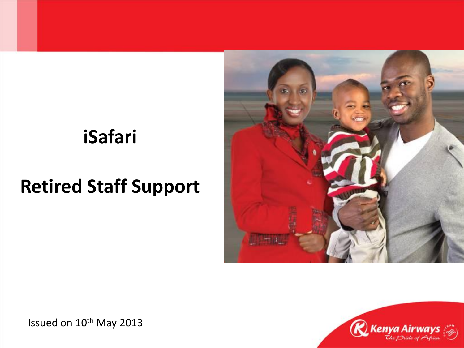### **iSafari**

## **Retired Staff Support**





Issued on 10<sup>th</sup> May 2013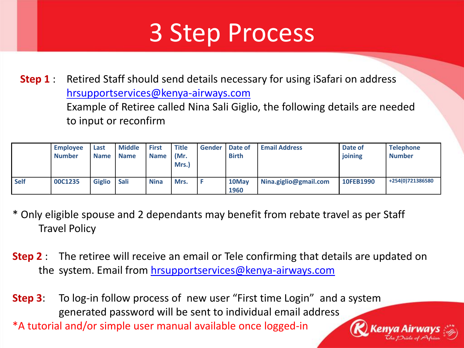# 3 Step Process

**Step 1** : Retired Staff should send details necessary for using iSafari on address [hrsupportservices@kenya-airways.com](mailto:hrsupportservices@kenya-airways.com) Example of Retiree called Nina Sali Giglio, the following details are needed to input or reconfirm

|             | <b>Employee</b><br><b>Number</b> | Last<br>Name I | <b>Middle</b><br><b>Name</b> | <b>First</b><br><b>Name</b> | Title<br>(Mr.<br>Mrs.) | <b>Gender   Date of</b> | <b>Birth</b>  | <b>Email Address</b>  | Date of<br>joining | <b>Telephone</b><br><b>Number</b> |
|-------------|----------------------------------|----------------|------------------------------|-----------------------------|------------------------|-------------------------|---------------|-----------------------|--------------------|-----------------------------------|
| <b>Self</b> | 00C1235                          | <b>Giglio</b>  | <b>Sali</b>                  | <b>Nina</b>                 | Mrs.                   |                         | 10May<br>1960 | Nina.giglio@gmail.com | 10FEB1990          | +254(0)721386580                  |

- \* Only eligible spouse and 2 dependants may benefit from rebate travel as per Staff Travel Policy
- **Step 2** : The retiree will receive an email or Tele confirming that details are updated on the system. Email from [hrsupportservices@kenya-airways.com](mailto:hrsupportservices@kenya-airways.com)
- **Step 3**: To log-in follow process of new user "First time Login" and a system generated password will be sent to individual email address \*A tutorial and/or simple user manual available once logged-in